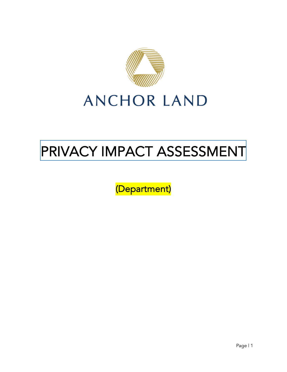

# PRIVACY IMPACT ASSESSMENT

(Department)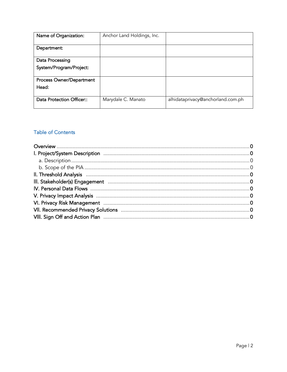| Name of Organization:                      | Anchor Land Holdings, Inc. |                                   |
|--------------------------------------------|----------------------------|-----------------------------------|
| Department:                                |                            |                                   |
| Data Processing<br>System/Program/Project: |                            |                                   |
| Process Owner/Department<br>Head:          |                            |                                   |
| Data Protection Officer::                  | Marydale C. Manato         | alhidataprivacy@anchorland.com.ph |

# **Table of Contents**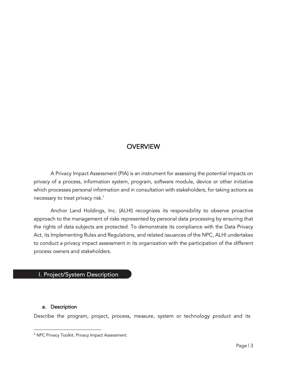# **OVERVIEW**

A Privacy Impact Assessment (PIA) is an instrument for assessing the potential impacts on privacy of a process, information system, program, software module, device or other initiative which processes personal information and in consultation with stakeholders, for taking actions as necessary to treat privacy risk.<sup>1</sup>

Anchor Land Holdings, Inc. (ALHI) recognizes its responsibility to observe proactive approach to the management of risks represented by personal data processing by ensuring that the rights of data subjects are protected. To demonstrate its compliance with the Data Privacy Act, its Implementing Rules and Regulations, and related issuances of the NPC, ALHI undertakes to conduct a privacy impact assessment in its organization with the participation of the different process owners and stakeholders.

### I. Project/System Description

#### a. Description

Describe the program, project, process, measure, system or technology product and its

<sup>&</sup>lt;sup>1</sup> NPC Privacy Toolkit. Privacy Impact Assessment.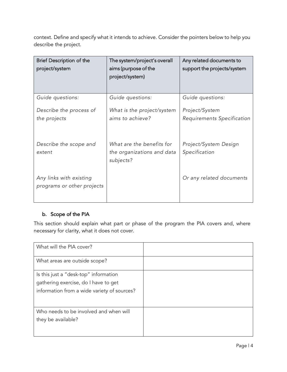context. Define and specify what it intends to achieve. Consider the pointers below to help you describe the project.

| Brief Description of the<br>project/system            | The system/project's overall<br>aims (purpose of the<br>project/system) | Any related documents to<br>support the projects/system |
|-------------------------------------------------------|-------------------------------------------------------------------------|---------------------------------------------------------|
| Guide questions:                                      | Guide questions:                                                        | Guide questions:                                        |
| Describe the process of                               | What is the project/system                                              | Project/System                                          |
| the projects                                          | aims to achieve?                                                        | Requirements Specification                              |
| Describe the scope and<br>extent                      | What are the benefits for<br>the organizations and data<br>subjects?    | Project/System Design<br>Specification                  |
| Any links with existing<br>programs or other projects |                                                                         | Or any related documents                                |

## b. Scope of the PIA

This section should explain what part or phase of the program the PIA covers and, where necessary for clarity, what it does not cover.

| What will the PIA cover?                    |  |
|---------------------------------------------|--|
| What areas are outside scope?               |  |
| Is this just a "desk-top" information       |  |
| gathering exercise, do I have to get        |  |
| information from a wide variety of sources? |  |
| Who needs to be involved and when will      |  |
| they be available?                          |  |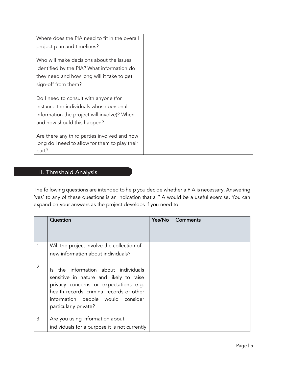| Where does the PIA need to fit in the overall<br>project plan and timelines? |  |
|------------------------------------------------------------------------------|--|
|                                                                              |  |
| Who will make decisions about the issues                                     |  |
| identified by the PIA? What information do                                   |  |
| they need and how long will it take to get                                   |  |
| sign-off from them?                                                          |  |
|                                                                              |  |
| Do I need to consult with anyone (for                                        |  |
| instance the individuals whose personal                                      |  |
| information the project will involve)? When                                  |  |
| and how should this happen?                                                  |  |
|                                                                              |  |
| Are there any third parties involved and how                                 |  |
| long do I need to allow for them to play their                               |  |
| part?                                                                        |  |

# II. Threshold Analysis

The following questions are intended to help you decide whether a PIA is necessary. Answering 'yes' to any of these questions is an indication that a PIA would be a useful exercise. You can expand on your answers as the project develops if you need to.

|    | Question                                                                                                                                                                                                                                | Yes/No | Comments |
|----|-----------------------------------------------------------------------------------------------------------------------------------------------------------------------------------------------------------------------------------------|--------|----------|
| 1. | Will the project involve the collection of<br>new information about individuals?                                                                                                                                                        |        |          |
| 2. | the information about individuals<br>ls.<br>sensitive in nature and likely to raise<br>privacy concerns or expectations e.g.<br>health records, criminal records or other<br>information people would consider<br>particularly private? |        |          |
| 3. | Are you using information about<br>individuals for a purpose it is not currently                                                                                                                                                        |        |          |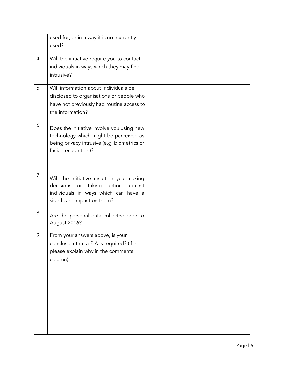|    | used for, or in a way it is not currently<br>used?                                                                                                                |  |
|----|-------------------------------------------------------------------------------------------------------------------------------------------------------------------|--|
| 4. | Will the initiative require you to contact<br>individuals in ways which they may find<br>intrusive?                                                               |  |
| 5. | Will information about individuals be<br>disclosed to organisations or people who<br>have not previously had routine access to<br>the information?                |  |
| 6. | Does the initiative involve you using new<br>technology which might be perceived as<br>being privacy intrusive (e.g. biometrics or<br>facial recognition)?        |  |
| 7. | Will the initiative result in you making<br>decisions<br>taking<br>action<br>against<br>or<br>individuals in ways which can have a<br>significant impact on them? |  |
| 8. | Are the personal data collected prior to<br>August 2016?                                                                                                          |  |
| 9. | From your answers above, is your<br>conclusion that a PIA is required? (If no,<br>please explain why in the comments<br>column)                                   |  |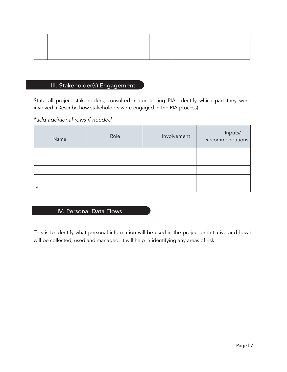# III. Stakeholder(s) Engagement

State all project stakeholders, consulted in conducting PIA. Identify which part they were involved. (Describe how stakeholders were engaged in the PIA process)

#### *\*add additional rows if needed*

| Name    | Role | Involvement | Inputs/<br>Recommendations |
|---------|------|-------------|----------------------------|
|         |      |             |                            |
|         |      |             |                            |
|         |      |             |                            |
|         |      |             |                            |
| $\star$ |      |             |                            |

# IV. Personal Data Flows

This is to identify what personal information will be used in the project or initiative and how it will be collected, used and managed. It will help in identifying any areas of risk.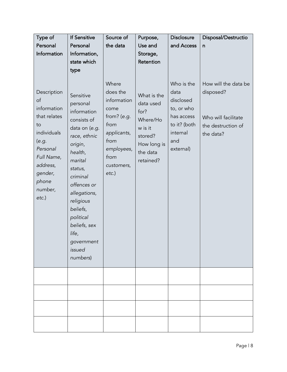| Type of                                                                                                                                                      | <b>If Sensitive</b>                                                                                                                                                                                                                                                            | Source of                                                                                                                              | Purpose,                                                                                                   | <b>Disclosure</b>                                                                                           | Disposal/Destructio                                                                         |
|--------------------------------------------------------------------------------------------------------------------------------------------------------------|--------------------------------------------------------------------------------------------------------------------------------------------------------------------------------------------------------------------------------------------------------------------------------|----------------------------------------------------------------------------------------------------------------------------------------|------------------------------------------------------------------------------------------------------------|-------------------------------------------------------------------------------------------------------------|---------------------------------------------------------------------------------------------|
| Personal                                                                                                                                                     | Personal                                                                                                                                                                                                                                                                       | the data                                                                                                                               | Use and                                                                                                    | and Access                                                                                                  | n                                                                                           |
| Information                                                                                                                                                  | Information,                                                                                                                                                                                                                                                                   |                                                                                                                                        | Storage,                                                                                                   |                                                                                                             |                                                                                             |
|                                                                                                                                                              | state which                                                                                                                                                                                                                                                                    |                                                                                                                                        | Retention                                                                                                  |                                                                                                             |                                                                                             |
|                                                                                                                                                              | type                                                                                                                                                                                                                                                                           |                                                                                                                                        |                                                                                                            |                                                                                                             |                                                                                             |
| Description<br>of<br>information<br>that relates<br>to<br>individuals<br>(e.g.<br>Personal<br>Full Name,<br>address,<br>gender,<br>phone<br>number,<br>etc.) | Sensitive<br>personal<br>information<br>consists of<br>data on (e.g.<br>race, ethnic<br>origin,<br>health,<br>marital<br>status,<br>criminal<br>offences or<br>allegations,<br>religious<br>beliefs,<br>political<br>beliefs, sex<br>life,<br>government<br>issued<br>numbers) | Where<br>does the<br>information<br>come<br>from? (e.g.<br>from<br>applicants,<br>from<br>employees,<br>from<br>customers,<br>$etc.$ ) | What is the<br>data used<br>for?<br>Where/Ho<br>w is it<br>stored?<br>How long is<br>the data<br>retained? | Who is the<br>data<br>disclosed<br>to, or who<br>has access<br>to it? (both<br>internal<br>and<br>external) | How will the data be<br>disposed?<br>Who will facilitate<br>the destruction of<br>the data? |
|                                                                                                                                                              |                                                                                                                                                                                                                                                                                |                                                                                                                                        |                                                                                                            |                                                                                                             |                                                                                             |
|                                                                                                                                                              |                                                                                                                                                                                                                                                                                |                                                                                                                                        |                                                                                                            |                                                                                                             |                                                                                             |
|                                                                                                                                                              |                                                                                                                                                                                                                                                                                |                                                                                                                                        |                                                                                                            |                                                                                                             |                                                                                             |
|                                                                                                                                                              |                                                                                                                                                                                                                                                                                |                                                                                                                                        |                                                                                                            |                                                                                                             |                                                                                             |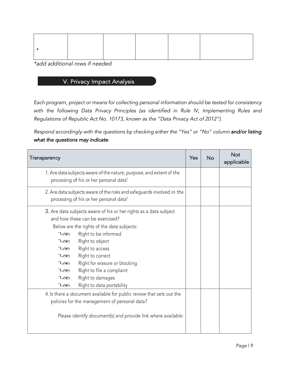*\*add additional rows if needed*

# V. Privacy Impact Analysis

*Each program, project or means for collecting personal information should be tested for consistency with the following Data Privacy Principles (as identified in Rule IV, Implementing Rules and Regulations of Republic Act No. 10173, known as the "Data Privacy Act of 2012").* 

*Respond accordingly with the questions by checking either the "Yes" or "No" column and/or listing what the questions may indicate.*

| Transparency                                                                                                                                                                                                                                                                                                                                                                                                                                | Yes | <b>No</b> | <b>Not</b><br>applicable |
|---------------------------------------------------------------------------------------------------------------------------------------------------------------------------------------------------------------------------------------------------------------------------------------------------------------------------------------------------------------------------------------------------------------------------------------------|-----|-----------|--------------------------|
| 1. Are data subjects aware of the nature, purpose, and extent of the<br>processing of his or her personal data?                                                                                                                                                                                                                                                                                                                             |     |           |                          |
| 2. Are data subjects aware of the risks and safeguards involved in the<br>processing of his or her personal data?                                                                                                                                                                                                                                                                                                                           |     |           |                          |
| 3. Are data subjects aware of his or her rights as a data subject<br>and how these can be exercised?<br>Below are the rights of the data subjects:<br>Right to be informed<br>$\iota$<br>Right to object<br>$\iota$<br>Right to access<br>$\iota$<br>Right to correct<br>$\iota$<br>Right for erasure or blocking<br>$\iota$<br>Right to file a complaint<br>$\iota$<br>Right to damages<br>$\iota$<br>Right to data portability<br>$\iota$ |     |           |                          |
| 4. Is there a document available for public review that sets out the<br>policies for the management of personal data?<br>Please identify document(s) and provide link where available:                                                                                                                                                                                                                                                      |     |           |                          |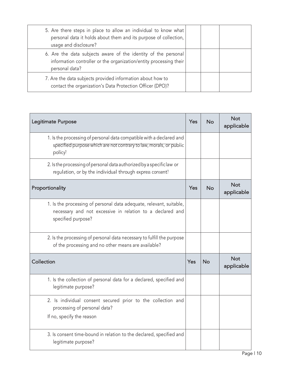| 5. Are there steps in place to allow an individual to know what<br>personal data it holds about them and its purpose of collection,<br>usage and disclosure? |  |  |
|--------------------------------------------------------------------------------------------------------------------------------------------------------------|--|--|
| 6. Are the data subjects aware of the identity of the personal<br>information controller or the organization/entity processing their<br>personal data?       |  |  |
| 7. Are the data subjects provided information about how to<br>contact the organization's Data Protection Officer (DPO)?                                      |  |  |

| Legitimate Purpose                                                                                                                                     | Yes | <b>No</b> | <b>Not</b><br>applicable |
|--------------------------------------------------------------------------------------------------------------------------------------------------------|-----|-----------|--------------------------|
| 1. Is the processing of personal data compatible with a declared and<br>specified purpose which are not contrary to law, morals, or public<br>policy?  |     |           |                          |
| 2. Is the processing of personal data authorized by a specific law or<br>regulation, or by the individual through express consent?                     |     |           |                          |
| Proportionality                                                                                                                                        | Yes | <b>No</b> | <b>Not</b><br>applicable |
| 1. Is the processing of personal data adequate, relevant, suitable,<br>necessary and not excessive in relation to a declared and<br>specified purpose? |     |           |                          |
| 2. Is the processing of personal data necessary to fulfill the purpose<br>of the processing and no other means are available?                          |     |           |                          |
| Collection                                                                                                                                             | Yes | <b>No</b> | <b>Not</b><br>applicable |
| 1. Is the collection of personal data for a declared, specified and<br>legitimate purpose?                                                             |     |           |                          |
| 2. Is individual consent secured prior to the collection and<br>processing of personal data?<br>If no, specify the reason                              |     |           |                          |
| 3. Is consent time-bound in relation to the declared, specified and<br>legitimate purpose?                                                             |     |           |                          |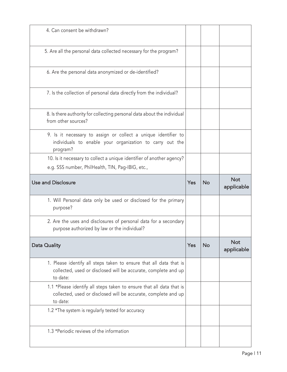| 4. Can consent be withdrawn?                                                                                                                       |     |           |                          |
|----------------------------------------------------------------------------------------------------------------------------------------------------|-----|-----------|--------------------------|
| 5. Are all the personal data collected necessary for the program?                                                                                  |     |           |                          |
| 6. Are the personal data anonymized or de-identified?                                                                                              |     |           |                          |
| 7. Is the collection of personal data directly from the individual?                                                                                |     |           |                          |
| 8. Is there authority for collecting personal data about the individual<br>from other sources?                                                     |     |           |                          |
| 9. Is it necessary to assign or collect a unique identifier to<br>individuals to enable your organization to carry out the<br>program?             |     |           |                          |
| 10. Is it necessary to collect a unique identifier of another agency?                                                                              |     |           |                          |
| e.g. SSS number, PhilHealth, TIN, Pag-IBIG, etc.,                                                                                                  |     |           |                          |
| <b>Use and Disclosure</b>                                                                                                                          | Yes | <b>No</b> | <b>Not</b>               |
|                                                                                                                                                    |     |           | applicable               |
| 1. Will Personal data only be used or disclosed for the primary<br>purpose?                                                                        |     |           |                          |
| 2. Are the uses and disclosures of personal data for a secondary<br>purpose authorized by law or the individual?                                   |     |           |                          |
| <b>Data Quality</b>                                                                                                                                | Yes | No        | <b>Not</b><br>applicable |
| 1. Please identify all steps taken to ensure that all data that is<br>collected, used or disclosed will be accurate, complete and up<br>to date:   |     |           |                          |
| 1.1 *Please identify all steps taken to ensure that all data that is<br>collected, used or disclosed will be accurate, complete and up<br>to date: |     |           |                          |
| 1.2 *The system is regularly tested for accuracy                                                                                                   |     |           |                          |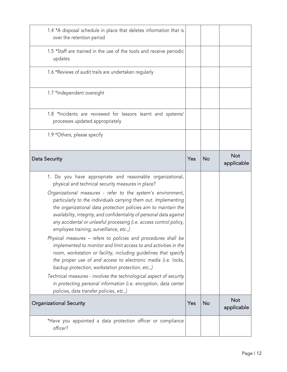| *Have you appointed a data protection officer or compliance<br>officer?                                                                                                                                                                                                                                                                                                                                                                                                                                                                                                                                                                                                                                                                                                                                                                                                                                                                                                                                                               |     |           |                          |
|---------------------------------------------------------------------------------------------------------------------------------------------------------------------------------------------------------------------------------------------------------------------------------------------------------------------------------------------------------------------------------------------------------------------------------------------------------------------------------------------------------------------------------------------------------------------------------------------------------------------------------------------------------------------------------------------------------------------------------------------------------------------------------------------------------------------------------------------------------------------------------------------------------------------------------------------------------------------------------------------------------------------------------------|-----|-----------|--------------------------|
| <b>Organizational Security</b>                                                                                                                                                                                                                                                                                                                                                                                                                                                                                                                                                                                                                                                                                                                                                                                                                                                                                                                                                                                                        | Yes | <b>No</b> | <b>Not</b><br>applicable |
| 1. Do you have appropriate and reasonable organizational,<br>physical and technical security measures in place?<br>Organizational measures - refer to the system's environment,<br>particularly to the individuals carrying them out. Implementing<br>the organizational data protection policies aim to maintain the<br>availability, integrity, and confidentiality of personal data against<br>any accidental or unlawful processing (i.e. access control policy,<br>employee training, surveillance, etc.,)<br>Physical measures - refers to policies and procedures shall be<br>implemented to monitor and limit access to and activities in the<br>room, workstation or facility, including guidelines that specify<br>the proper use of and access to electronic media (i.e. locks,<br>backup protection, workstation protection, etc.,)<br>Technical measures - involves the technological aspect of security<br>in protecting personal information (i.e. encryption, data center<br>policies, data transfer policies, etc.,) |     |           |                          |
| <b>Data Security</b>                                                                                                                                                                                                                                                                                                                                                                                                                                                                                                                                                                                                                                                                                                                                                                                                                                                                                                                                                                                                                  | Yes | <b>No</b> | <b>Not</b><br>applicable |
| 1.9 *Others, please specify                                                                                                                                                                                                                                                                                                                                                                                                                                                                                                                                                                                                                                                                                                                                                                                                                                                                                                                                                                                                           |     |           |                          |
| 1.8 *Incidents are reviewed for lessons learnt and systems/<br>processes updated appropriately                                                                                                                                                                                                                                                                                                                                                                                                                                                                                                                                                                                                                                                                                                                                                                                                                                                                                                                                        |     |           |                          |
| 1.7 *Independent oversight                                                                                                                                                                                                                                                                                                                                                                                                                                                                                                                                                                                                                                                                                                                                                                                                                                                                                                                                                                                                            |     |           |                          |
| 1.6 *Reviews of audit trails are undertaken regularly                                                                                                                                                                                                                                                                                                                                                                                                                                                                                                                                                                                                                                                                                                                                                                                                                                                                                                                                                                                 |     |           |                          |
| 1.5 *Staff are trained in the use of the tools and receive periodic<br>updates                                                                                                                                                                                                                                                                                                                                                                                                                                                                                                                                                                                                                                                                                                                                                                                                                                                                                                                                                        |     |           |                          |
| 1.4 *A disposal schedule in place that deletes information that is<br>over the retention period                                                                                                                                                                                                                                                                                                                                                                                                                                                                                                                                                                                                                                                                                                                                                                                                                                                                                                                                       |     |           |                          |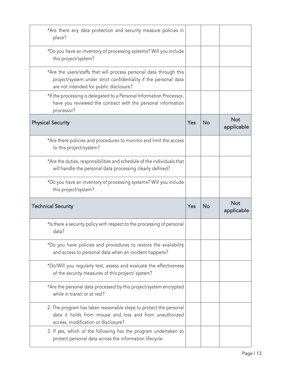| *Are there any data protection and security measure policies in<br>place?                                                                                                         |     |           |                          |
|-----------------------------------------------------------------------------------------------------------------------------------------------------------------------------------|-----|-----------|--------------------------|
| *Do you have an inventory of processing systems? Will you include<br>this project/system?                                                                                         |     |           |                          |
| *Are the users/staffs that will process personal data through this<br>project/system under strict confidentiality if the personal data<br>are not intended for public disclosure? |     |           |                          |
| *If the processing is delegated to a Personal Information Processor,<br>have you reviewed the contract with the personal information<br>processor?                                |     |           |                          |
| <b>Physical Security</b>                                                                                                                                                          | Yes | <b>No</b> | <b>Not</b><br>applicable |
| *Are there policies and procedures to monitor and limit the access<br>to this project/system?                                                                                     |     |           |                          |
| *Are the duties, responsibilities and schedule of the individuals that<br>will handle the personal data processing clearly defined?                                               |     |           |                          |
| *Do you have an inventory of processing systems? Will you include                                                                                                                 |     |           |                          |
| this project/system?                                                                                                                                                              |     |           |                          |
| <b>Technical Security</b>                                                                                                                                                         | Yes | <b>No</b> | <b>Not</b><br>applicable |
| *Is there a security policy with respect to the processing of personal<br>data?                                                                                                   |     |           |                          |
| *Do you have policies and procedures to restore the availability<br>and access to personal data when an incident happens?                                                         |     |           |                          |
| *Do/Will you regularly test, assess and evaluate the effectiveness<br>of the security measures of this project/ system?                                                           |     |           |                          |
| *Are the personal data processed by this project/system encrypted<br>while in transit or at rest?                                                                                 |     |           |                          |
| 2. The program has taken reasonable steps to protect the personal<br>data it holds from misuse and loss and from unauthorized<br>access, modification or disclosure?              |     |           |                          |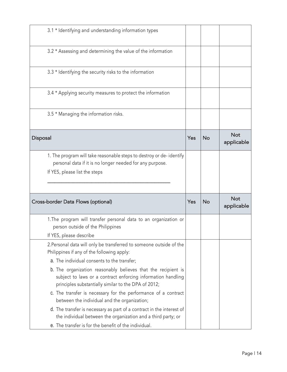| 3.1 * Identifying and understanding information types                                                                                                                                 |     |           |                          |
|---------------------------------------------------------------------------------------------------------------------------------------------------------------------------------------|-----|-----------|--------------------------|
| 3.2 * Assessing and determining the value of the information                                                                                                                          |     |           |                          |
| 3.3 * Identifying the security risks to the information                                                                                                                               |     |           |                          |
| 3.4 * Applying security measures to protect the information                                                                                                                           |     |           |                          |
| 3.5 * Managing the information risks.                                                                                                                                                 |     |           |                          |
| Disposal                                                                                                                                                                              | Yes | <b>No</b> | <b>Not</b><br>applicable |
| 1. The program will take reasonable steps to destroy or de-identify<br>personal data if it is no longer needed for any purpose.<br>If YES, please list the steps                      |     |           |                          |
| Cross-border Data Flows (optional)                                                                                                                                                    | Yes | <b>No</b> | <b>Not</b><br>applicable |
| 1. The program will transfer personal data to an organization or<br>person outside of the Philippines<br>If YES, please describe                                                      |     |           |                          |
| 2. Personal data will only be transferred to someone outside of the<br>Philippines if any of the following apply:<br>a. The individual consents to the transfer;                      |     |           |                          |
| b. The organization reasonably believes that the recipient is<br>subject to laws or a contract enforcing information handling<br>principles substantially similar to the DPA of 2012; |     |           |                          |
| c. The transfer is necessary for the performance of a contract<br>between the individual and the organization;                                                                        |     |           |                          |
| d. The transfer is necessary as part of a contract in the interest of<br>the individual between the organization and a third party; or                                                |     |           |                          |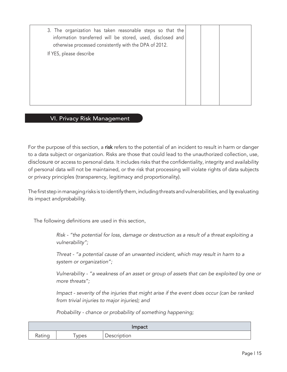| 3. The organization has taken reasonable steps so that the<br>information transferred will be stored, used, disclosed and<br>otherwise processed consistently with the DPA of 2012. |  |  |
|-------------------------------------------------------------------------------------------------------------------------------------------------------------------------------------|--|--|
| If YES, please describe                                                                                                                                                             |  |  |
|                                                                                                                                                                                     |  |  |
|                                                                                                                                                                                     |  |  |
|                                                                                                                                                                                     |  |  |
|                                                                                                                                                                                     |  |  |
|                                                                                                                                                                                     |  |  |
|                                                                                                                                                                                     |  |  |
|                                                                                                                                                                                     |  |  |

### **VI. Privacy Risk Management**

For the purpose of this section, a risk refers to the potential of an incident to result in harm or danger to a data subject or organization. Risks are those that could lead to the unauthorized collection, use, disclosure or access to personal data. It includes risks that the confidentiality, integrity and availability of personal data will not be maintained, or the risk that processing will violate rights of data subjects or privacy principles (transparency, legitimacy and proportionality).

The first step in managing risks is to identify them, including threats and vulnerabilities, and by evaluating its impact andprobability.

The following definitions are used in this section,

*Risk - "the potential for loss, damage or destruction as a result of a threat exploiting a vulnerability";*

*Threat - "a potential cause of an unwanted incident, which may result in harm to a system or organization";*

*Vulnerability - "a weakness of an asset or group of assets that can be exploited by one or more threats";*

*Impact - severity of the injuries that might arise if the event does occur (can be ranked from trivial injuries to major injuries); and*

*Probability - chance or probability of something happening;*

| <b>Impact</b> |      |             |  |  |  |  |
|---------------|------|-------------|--|--|--|--|
| Rating        | ypes | Description |  |  |  |  |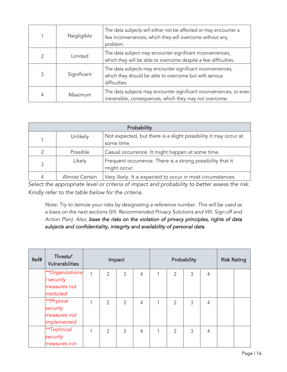|   | Negligible  | The data subjects will either not be affected or may encounter a<br>few inconveniences, which they will overcome without any<br>problem. |
|---|-------------|------------------------------------------------------------------------------------------------------------------------------------------|
| 2 | I imited    | The data subject may encounter significant inconveniences,<br>which they will be able to overcome despite a few difficulties.            |
| 3 | Significant | The data subjects may encounter significant inconveniences,<br>which they should be able to overcome but with serious<br>difficulties.   |
| 4 | Maximum     | The data subjects may encounter significant inconveniences, or even<br>irreversible, consequences, which they may not overcome.          |

|               | Probability     |                                                                               |  |  |  |  |  |  |
|---------------|-----------------|-------------------------------------------------------------------------------|--|--|--|--|--|--|
|               | <b>Unlikely</b> | Not expected, but there is a slight possibility it may occur at<br>some time. |  |  |  |  |  |  |
| $\mathcal{P}$ | Possible        | Casual occurrence. It might happen at some time.                              |  |  |  |  |  |  |
| 3             | Likely          | Frequent occurrence. There is a strong possibility that it<br>might occur.    |  |  |  |  |  |  |
| 4             | Almost Certain  | Very likely. It is expected to occur in most circumstances.                   |  |  |  |  |  |  |

*Select the appropriate level or criteria of impact and probability to better assess the risk. Kindly refer to the table below for the criteria.*

*Note: Try to itemize your risks by designating a reference number. This will be used as a basis on the next sections (VII. Recommended Privacy Solutions and VIII. Sign off and Action Plan). Also, base the risks on the violation of privacy principles, rights of data subjects and confidentiality, integrity and availability of personal data.*

| Ref# | Threats<br>Vulnerabilities | Impact |                |   |   | Probability |   |   |   | <b>Risk Rating</b> |  |
|------|----------------------------|--------|----------------|---|---|-------------|---|---|---|--------------------|--|
|      | **Organizationa            | 1      | 2              | 3 | 4 |             | 2 | 3 | 4 |                    |  |
|      | security                   |        |                |   |   |             |   |   |   |                    |  |
|      | measures not               |        |                |   |   |             |   |   |   |                    |  |
|      | instituted                 |        |                |   |   |             |   |   |   |                    |  |
|      | **Physical                 |        | $\overline{2}$ | 3 | 4 |             | 2 | 3 | 4 |                    |  |
|      | security                   |        |                |   |   |             |   |   |   |                    |  |
|      | measures not               |        |                |   |   |             |   |   |   |                    |  |
|      | implemented                |        |                |   |   |             |   |   |   |                    |  |
|      | **Technical                |        | $\mathfrak{D}$ | 3 | 4 |             | 2 | 3 | 4 |                    |  |
|      | security                   |        |                |   |   |             |   |   |   |                    |  |
|      | measures not               |        |                |   |   |             |   |   |   |                    |  |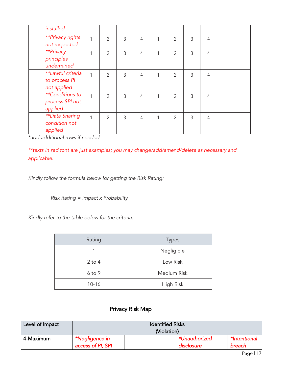| installed                                            |   |                |   |   |   |   |   |                |  |
|------------------------------------------------------|---|----------------|---|---|---|---|---|----------------|--|
| <b>**Privacy rights</b><br>not respected             | 1 | 2              | 3 | 4 | 1 | 2 | 3 | $\overline{4}$ |  |
| **Privacy<br>principles<br>undermined                |   | $\overline{2}$ | 3 | 4 | 1 | 2 | 3 | 4              |  |
| **Lawful criteria<br>to process PI<br>not applied    |   | $\mathfrak{D}$ | 3 | 4 |   | 2 | 3 | $\overline{4}$ |  |
| <b>**Conditions to</b><br>process SPI not<br>applied | 1 | $\overline{2}$ | 3 | 4 |   | 2 | 3 | 4              |  |
| <b>**Data Sharing</b><br>condition not<br>applied    | 1 | $\overline{2}$ | 3 | 4 | 1 | 2 | 3 | $\overline{4}$ |  |

*\*add additional rows if needed*

*\*\*texts in red font are just examples; you may change/add/amend/delete as necessary and applicable.*

*Kindly follow the formula below for getting the Risk Rating:*

*Risk Rating = Impact x Probability* 

*Kindly refer to the table below for the criteria.*

| Rating     | <b>Types</b>       |
|------------|--------------------|
| 1          | Negligible         |
| $2$ to $4$ | Low Risk           |
| $6$ to $9$ | <b>Medium Risk</b> |
| $10 - 16$  | High Risk          |

# Privacy Risk Map

| Level of Impact | <b>Identified Risks</b> |             |               |              |
|-----------------|-------------------------|-------------|---------------|--------------|
|                 |                         | (Violation) |               |              |
| 4-Maximum       | *Negligence in          |             | *Unauthorized | *Intentional |
|                 | access of PI, SPI       |             | disclosure    | breach       |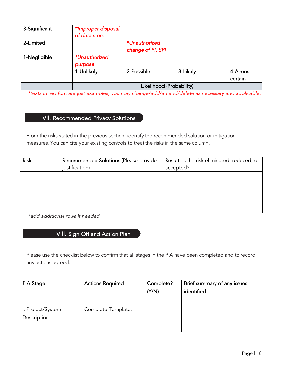| 3-Significant | *Improper disposal<br>of data store |                                    |          |                     |
|---------------|-------------------------------------|------------------------------------|----------|---------------------|
| 2-Limited     |                                     | *Unauthorized<br>change of PI, SPI |          |                     |
| 1-Negligible  | *Unauthorized<br>purpose            |                                    |          |                     |
|               | 1-Unlikely                          | 2-Possible                         | 3-Likely | 4-Almost<br>certain |
|               |                                     | Likelihood (Probability)           |          |                     |

*\*texts in red font are just examples; you may change/add/amend/delete as necessary and applicable.*

# VII. Recommended Privacy Solutions

From the risks stated in the previous section, identify the recommended solution or mitigation measures. You can cite your existing controls to treat the risks in the same column.

| <b>Risk</b> | Recommended Solutions (Please provide | Result: is the risk eliminated, reduced, or |
|-------------|---------------------------------------|---------------------------------------------|
|             | justification)                        | accepted?                                   |
|             |                                       |                                             |
|             |                                       |                                             |
|             |                                       |                                             |
|             |                                       |                                             |
|             |                                       |                                             |

*\*add additional rows if needed*

# VIII. Sign Off and Action Plan

Please use the checklist below to confirm that all stages in the PIA have been completed and to record any actions agreed.

| <b>PIA Stage</b>  | <b>Actions Required</b> | Complete? | Brief summary of any issues |
|-------------------|-------------------------|-----------|-----------------------------|
|                   |                         | (Y/N)     | identified                  |
|                   |                         |           |                             |
|                   |                         |           |                             |
| I. Project/System | Complete Template.      |           |                             |
| Description       |                         |           |                             |
|                   |                         |           |                             |
|                   |                         |           |                             |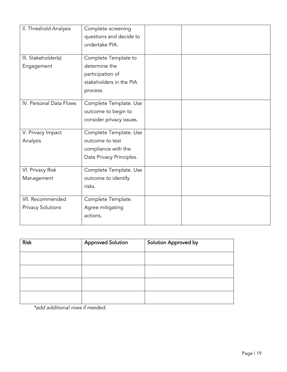| II. Threshold Analysis                       | Complete screening<br>questions and decide to<br>undertake PIA.                                  |  |
|----------------------------------------------|--------------------------------------------------------------------------------------------------|--|
| III. Stakeholder(s)<br>Engagement            | Complete Template to<br>determine the<br>participation of<br>stakeholders in the PIA<br>process. |  |
| IV. Personal Data Flows                      | Complete Template. Use<br>outcome to begin to<br>consider privacy issues.                        |  |
| V. Privacy Impact<br>Analysis                | Complete Template. Use<br>outcome to test<br>compliance with the<br>Data Privacy Principles.     |  |
| VI. Privacy Risk<br>Management               | Complete Template. Use<br>outcome to identify<br>risks.                                          |  |
| VII. Recommended<br><b>Privacy Solutions</b> | Complete Template.<br>Agree mitigating<br>actions.                                               |  |

| <b>Risk</b> | <b>Approved Solution</b> | <b>Solution Approved by</b> |
|-------------|--------------------------|-----------------------------|
|             |                          |                             |
|             |                          |                             |
|             |                          |                             |
|             |                          |                             |
|             |                          |                             |

*\*add additional rows if needed.*